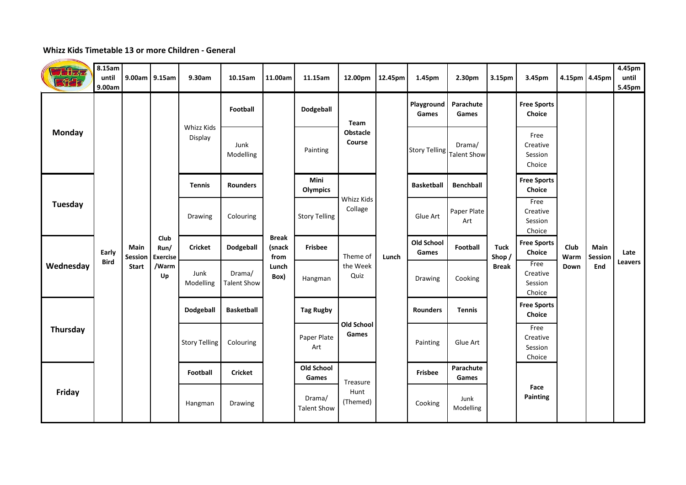## **Whizz Kids Timetable 13 or more Children - General**

| Thizaz<br><b>Ref</b> | 8.15am<br>until<br>9.00am | 9.00am 9.15am                   |                                                | 9.30am                | 10.15am                      | 11.00am                                         | 11.15am                      | 12.00pm                      | 12.45pm  | 1.45pm              | 2.30pm                       | 3.15pm                                | 3.45pm                                | 4.15pm 4.45pm        |                        | 4.45pm<br>until<br>5.45pm |
|----------------------|---------------------------|---------------------------------|------------------------------------------------|-----------------------|------------------------------|-------------------------------------------------|------------------------------|------------------------------|----------|---------------------|------------------------------|---------------------------------------|---------------------------------------|----------------------|------------------------|---------------------------|
|                      |                           |                                 |                                                | Whizz Kids<br>Display | Football                     | <b>Break</b><br>(snack<br>from<br>Lunch<br>Box) | Dodgeball                    | Team                         |          | Playground<br>Games | Parachute<br>Games           |                                       | <b>Free Sports</b><br><b>Choice</b>   |                      |                        |                           |
| Monday               |                           |                                 |                                                |                       | Junk<br>Modelling            |                                                 | Painting                     | Obstacle<br>Course           |          | Story Telling       | Drama/<br><b>Talent Show</b> |                                       | Free<br>Creative<br>Session<br>Choice |                      |                        |                           |
|                      |                           |                                 |                                                | <b>Tennis</b>         | <b>Rounders</b>              |                                                 | Mini<br><b>Olympics</b>      | Whizz Kids<br>Collage        |          | <b>Basketball</b>   | <b>Benchball</b>             |                                       | <b>Free Sports</b><br>Choice          |                      |                        |                           |
| Tuesday              |                           |                                 |                                                | Drawing               | Colouring                    |                                                 | <b>Story Telling</b>         |                              | Glue Art | Paper Plate<br>Art  |                              | Free<br>Creative<br>Session<br>Choice |                                       |                      |                        |                           |
| Wednesday            | Early<br><b>Bird</b>      | Main<br>Session<br><b>Start</b> | Club<br>Run/<br><b>Exercise</b><br>/Warm<br>Up | <b>Cricket</b>        | Dodgeball                    |                                                 | <b>Frisbee</b>               | Theme of<br>the Week<br>Quiz | Lunch    | Old School<br>Games | Football                     | <b>Tuck</b><br>Shop/<br><b>Break</b>  | <b>Free Sports</b><br>Choice          | Club<br>Warm<br>Down | Main<br>Session<br>End | Late<br>Leavers           |
|                      |                           |                                 |                                                | Junk<br>Modelling     | Drama/<br><b>Talent Show</b> |                                                 | Hangman                      |                              |          | Drawing             | Cooking                      |                                       | Free<br>Creative<br>Session<br>Choice |                      |                        |                           |
| Thursday             |                           |                                 |                                                | Dodgeball             | <b>Basketball</b>            |                                                 | <b>Tag Rugby</b>             | <b>Old School</b><br>Games   |          | <b>Rounders</b>     | <b>Tennis</b>                |                                       | <b>Free Sports</b><br>Choice          |                      |                        |                           |
|                      |                           |                                 |                                                | <b>Story Telling</b>  | Colouring                    |                                                 | Paper Plate<br>Art           |                              |          | Painting            | Glue Art                     |                                       | Free<br>Creative<br>Session<br>Choice |                      |                        |                           |
| Friday               |                           |                                 |                                                | Football              | <b>Cricket</b>               |                                                 | <b>Old School</b><br>Games   | Treasure<br>Hunt<br>(Themed) |          | <b>Frisbee</b>      | Parachute<br>Games           |                                       |                                       |                      |                        |                           |
|                      |                           |                                 |                                                | Hangman               | Drawing                      |                                                 | Drama/<br><b>Talent Show</b> |                              |          | Cooking             | Junk<br>Modelling            |                                       | Face<br>Painting                      |                      |                        |                           |